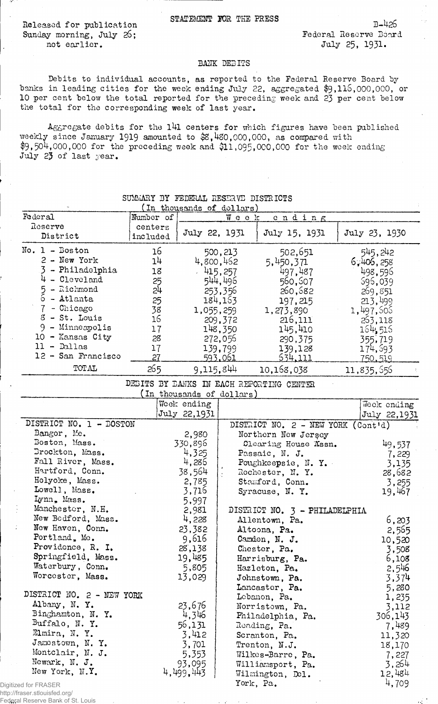Released for publication Sunday morning, July 26; not earlier.

 $B-426$ Federal Reserve Board July 25, 1931.

## BANK DEBITS

Debits to individual accounts, as reported to the Federal Reserve Board by banks in leading cities for the week ending July 22, aggregated \$9,115,000,000, or 10 per cent below the total reported for the preceding week and 23 per cent below the total for the corresponding week of last year.

Aggregate debits for the 141 centers for which figures have been published weekly since January 1919 amounted to \$8,480,000,000, as compared with  $$9,504,000,000$  for the preceding week and  $$11,095,000,000$  for the week ending July 23 of last year.

| powerit bi tenggan gebegan bibintolo                      |                 |                  |                          |                                          |  |                |
|-----------------------------------------------------------|-----------------|------------------|--------------------------|------------------------------------------|--|----------------|
| (In thousands of dollars)<br>Federal<br>Number of<br>Week |                 |                  |                          |                                          |  |                |
| Reserve                                                   |                 |                  |                          | ending                                   |  |                |
|                                                           | centers         | July 22, 1931    |                          | July 15, 1931                            |  | July 23, 1930  |
| District                                                  | included        |                  |                          |                                          |  |                |
| $No. 1 - Boston$                                          | 16              |                  | 500,213                  | 502,651                                  |  | 545,242        |
| $2$ - New York                                            | 14              |                  | 4,800,462                | 5,450,371                                |  | 6,406,258      |
| 3 - Philadelphia                                          | 18              |                  | 1415,257                 | 497,487                                  |  | 498,596        |
| $4 - C1$ eveland                                          |                 |                  | 544,496                  |                                          |  |                |
| 5<br>- Richmond                                           | $\frac{25}{24}$ |                  |                          | 560,507                                  |  | 596,039        |
| 6 - Atlanta                                               |                 |                  | 253,356                  | 260,682                                  |  | 269,851        |
| 7 - Chicago                                               | 25              |                  | 184, 163                 | 197,215                                  |  | 213,499        |
|                                                           | 38              | 1,055,259        |                          | 1,273,890                                |  | 1,497,506      |
| $3 - St.$ Louis                                           | 16              |                  | 209,372                  | 216,111                                  |  | 253,118        |
| 9 - Minneapolis                                           | 17              |                  | 148,350                  | 145,410                                  |  | 164,516        |
| 10 - Kansas City                                          | 28              |                  | 272,056                  | 290,375                                  |  | 355,719        |
| $11 - $ Dallas                                            | 17              |                  | 139,799                  | 139,128                                  |  | 174,593        |
| 12 - San Francisco                                        | 27              |                  | <u>593.061</u>           | <u>534.111</u>                           |  | <u>750,519</u> |
| TOTAL                                                     | 265             | 9,115,844        |                          | 10,168,038                               |  | 11,835,556     |
|                                                           |                 |                  |                          | DEBITS BY DANKS IN EACH REPORTING CENTER |  |                |
|                                                           |                 |                  | In thousands of dollars) |                                          |  |                |
|                                                           |                 | Week ending      |                          |                                          |  | Week ending    |
|                                                           |                 | July 22,1931     |                          |                                          |  | July 22,1931   |
| DISTRICT NO. 1 - BOSTON                                   |                 |                  |                          | DISTRICT NO. 2 - NEW YORK (Cont'd)       |  |                |
| Bangor, Me.                                               |                 |                  |                          |                                          |  |                |
| Doston, Mass.                                             |                 | 2,980<br>330,896 |                          | Northern New Jersey                      |  |                |
| Drockton, Mass.                                           |                 | 4,325            |                          | Clearing House Assn.                     |  | 49,537         |
|                                                           |                 |                  |                          | Passaic, N. J.                           |  | 7,229          |
| Fall River, Mass.                                         |                 | 4,286            |                          | Poughkeepsie, $N. Y.$                    |  | 3,135          |
| Hartford, Conn.                                           |                 | 38,564           |                          | Rochester, N. Y.                         |  | 28,682         |
| Holyoke, Mass.                                            |                 | 2,785            |                          | Stamford, Conn.                          |  | 3,255          |
| Lowell, Mass.                                             |                 | 3,716            |                          | Syracuse, N.Y.                           |  | 19,467         |
| Lynn, Mass.                                               |                 | 5,997            |                          |                                          |  |                |
| Manchester, N.H.                                          |                 | 2,981            |                          | DISTRICT NO. 3 - PHILADELPHIA            |  |                |
| New Bedford, Mass.                                        |                 | 4,228            |                          | Allentown, Pa.                           |  | 6,203          |
| New Haven, Conn.                                          |                 | 23,382           |                          | Altoona, Pa.                             |  | 2,565          |
| Portland, Me.                                             |                 | 9,616            |                          | Camden, N. J.                            |  | 10,520         |
| Providence, R. I.                                         |                 | 28,138           |                          | Chester, Pa.                             |  | 3,508          |
| Springfield, Mass.                                        |                 | 19,485           |                          | Harrisburg, Pa.                          |  | 6,108          |
| Waterbury, Conn.                                          |                 | 5,805            |                          | Hazleton, Pa.                            |  | 2,546          |
| Worcester, Mass.                                          |                 | 13,029           |                          | Johnstown, Pa.                           |  | 3,374          |
|                                                           |                 |                  |                          |                                          |  |                |
| DISTRICT NO. 2 - NEW YORK                                 |                 |                  |                          | Lancaster, Pa.                           |  | 5,280          |
| Albany, N.Y.                                              |                 |                  |                          | Lebanon, Pa.                             |  | 1,235          |
| Binghamton, N. Y.                                         |                 | 23,676           |                          | Norristown, Pa.                          |  | 3,112          |
|                                                           |                 | 4,346            |                          | Philadelphia, Pa.                        |  | 306,143        |
| Buffalo, N.Y.                                             |                 | 56,131           |                          | Reading, Pa.                             |  | 7,489          |
| Elmira, N.Y.                                              |                 | 3,412            |                          | Scranton, Pa.                            |  | 11,320         |
| Jamestown, N. Y.                                          |                 | 3,701            |                          | Trenton, N.J.                            |  | 18,170         |
| Montclair, N. J.                                          |                 | 5,353            |                          | Wilkes-Barre, Pa.                        |  | 7,227          |
| Newark, N. J.                                             |                 | 93,095           |                          | Williamsport, Pa.                        |  | 3,264          |
| New York, N.Y.                                            |                 | 4,499,443        |                          | Wilmington, Del.                         |  | 12,484         |
| ed for FRASER                                             |                 |                  | York, Pa.                |                                          |  | 4,709          |
| raear etlouiefad oral                                     |                 |                  |                          |                                          |  |                |

## SUMMARY 3Y השתפשת 18 המתחפש של המשתפשת

Digitize http://fra Federal Reserve Bank of St. Louis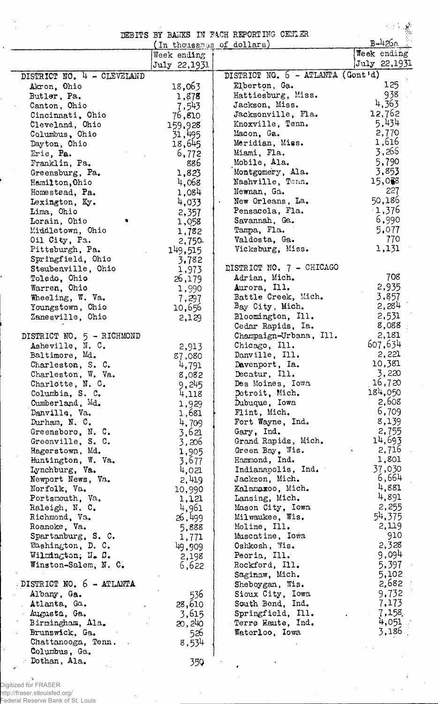|                              |                             | DEBITS BY BANKS IN FACH REPORTING CENLER | $B-4260$ .     |
|------------------------------|-----------------------------|------------------------------------------|----------------|
|                              | (In thousands of dollars)   |                                          | Week ending    |
|                              | Week ending<br>July 22,1931 |                                          | July 22,1931   |
| DISTRICT NO. 4 - CLEVELAND   |                             | DISTRICT NO. 6 - ATLANTA (Gont'd)        |                |
| Akron, Ohio                  | 18,063                      | Elberton, Ga.                            | 125            |
| Butler, Pa.                  |                             | Hattiesburg, Miss.                       | 938            |
| Canton, Ohio                 | 1,878<br>7,543              | Jackson, Miss.                           | 4,363          |
| Cincinnati, Ohio             | 76,810                      | Jacksonville, Fla.                       | 12,762         |
| Cleveland, Ohio              | 159,928                     | Knoxville, Tenn.                         | 5,434          |
| Columbus, Ohio               | 31,495                      | Macon, Ga.                               | 2,770          |
| Dayton, Ohio                 | 18,645                      | Meridian, Miss.                          | 1,616          |
| Erie, Pa.                    | 6,772                       | Miami, Fla.                              | 3,266          |
| Franklin, Pa.                | 886                         | Mobile, Ala.                             | 5,790          |
| Greensburg, Pa.              | 1,823                       | Montgomery, Ala.                         | 3,853          |
| Hamilton, Ohio               | 4,068                       | Nashville, Tenn.                         | 15,038         |
| Homestead, Pa.               | 1,084                       | Newnan, Ga.                              | 227            |
| Lexington, Ky.               | 4,033                       | New Orleans, La.<br>$\bullet$            | 50,186         |
| Lima, Ohio                   | 2,357                       | Pensacola, Fla.                          | $-1,376$       |
| Lorain, Ohio                 | 1,058                       | Savannah, Ga.                            | 6,990          |
| Middletown, Ohio             | 1,782                       | Tampa, Fla.                              | 5,077          |
| Oil City, Pa.                | 2,750                       | Valdosta, Ga.                            | 770            |
| Pittsburgh, Pa.              | 149,515                     | Vicksburg, Miss.                         | 1,131          |
| Springfield, Ohio            | 3,782                       |                                          |                |
| Steubenville, Ohio           | 1,973                       | DISTRICT NO. 7 - CHICAGO                 |                |
| Toledo, Ohio                 | 26,179                      | Adrian, Mich.                            | 708            |
| Warren, Ohio                 | 1,990                       | Aurora, Ill.                             | 2,935          |
| Wheeling, W. Va.             | 7,297                       | Battle Creek, Mich.                      | 3,857          |
| Youngstown, Ohio             | 10,656                      | Bay City, Mich.                          | 2,284          |
| Zanesville, Ohio             | 2,129                       | Bloomington, Ill.                        | 2,531          |
|                              |                             | Cedar Rapids, Ia.                        | 8,088          |
| DISTRICT NO. 5 - RICHMOND    |                             | Champaign-Urbana, Ill.                   | 2,181          |
| Asheville, N. C.             | 2,913                       | Chicago, Ill.                            | 607,634        |
| Baltimore, Md.               | 87,080                      | Danville, Ill.                           | 2,221          |
| Charleston, S. C.            | 4,791                       | Davenport, Ia.                           | 10,381         |
| Charleston, W. Va.           | 8,082                       | Decatur, Ill.                            | 3,220          |
| Charlotte, N. C.             | 9,245                       | Des Moines, Iowa                         | 16,720         |
| Columbia, S. C.              | 4,118                       | Detroit, Mich.                           | 184,050        |
| Cumberland, Md.              | 1,929                       | Dubuque, Iowa                            | 2,608          |
| Danville, Va.                | 1,681                       | Flint, Mich.                             | 6,709          |
| Durham, N. C.                | 4,709                       | Fort Wayne, Ind.                         | 8,139          |
| Greensboro, N.C.             | 3,621                       | Gary, Ind.                               | 2,755          |
| Greenville, S. C.            | 3,206                       | Grand Rapids, Mich.                      | 14,693         |
| Hagerstown, Md.              | 1,905                       | Green Bay, Wis.                          | 2,716          |
| Huntington, W. Va.           | 3,677                       | Hammond, Ind.                            | 1,801          |
| Lynchburg, Va.               | 4,021                       | Indianapolis, Ind.                       | 37,030         |
| Newport News, Va.            | 2,419                       | Jackson, Mich.                           | 6,664          |
| Norfolk, Va.                 | 10,990                      | Kalamaxoo, Mich.                         | 4,881          |
| Portsmouth, Va.              | 1,121                       | Lansing, Mich.                           | 4,891          |
| Raleigh, N. C.               | 4,961                       | Mason City, Iowa                         | 2,255          |
| Richmond, Va.                | 26,499                      | Milwaukee, Wis.                          | 54,375         |
| Roanoke, Va.                 | 5,888                       | Moline, Ill.                             | 2,119          |
| Spartanburg, S. C.           | 1,771                       | Muscatine, Iowa                          | 910<br>2,328   |
| Washington, D. C.            | 49,909                      | Oshkosh, Wis.                            | 9,094          |
| Wilmington; N. C.            | 2,198                       | Peoria, Ill.                             |                |
| Winston-Salem, N. C.         | 6,622                       | Rockford, Ill.                           | 5,397<br>5,102 |
| DISTRICT NO. 6 - ATLANTA     |                             | Saginaw, Mich.                           | 2,682          |
|                              |                             | Sheboygan, Wis.<br>Sioux City, Iowa      | 9,732          |
| Albany, Ga.                  | 536                         | South Bend, Ind.                         | 7,173          |
| Atlanta, Ga.<br>Augusta, Ga. | 28,610                      | Springfield, Ill.                        | 7,158          |
| Birmingham, Ala.             | 3,615<br>20,240             | Terre Haute, Ind.                        | 4,051          |
| Brunswick, Ga.               | 526                         | Waterloo, Iowa                           | 3,186          |
| Chattanooga, Tenn.           | 8,534                       |                                          |                |
| Columbus, Ga.                |                             |                                          |                |
| Dothan, Ala.                 | 35Q                         |                                          |                |
|                              |                             |                                          |                |

Digitized for FRASER http://fraser.stlouisfed.org/ Federal Reserve Bank of St. Louis

Ÿ